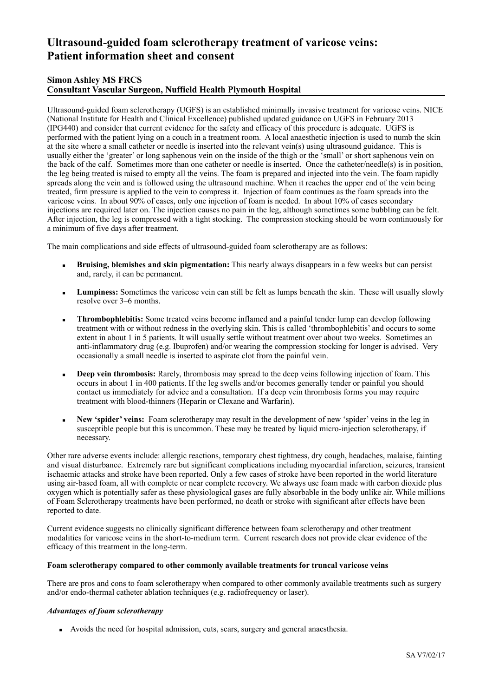# **Ultrasound-guided foam sclerotherapy treatment of varicose veins: Patient information sheet and consent**

## **Simon Ashley MS FRCS Consultant Vascular Surgeon, Nuffield Health Plymouth Hospital**

Ultrasound-guided foam sclerotherapy (UGFS) is an established minimally invasive treatment for varicose veins. NICE (National Institute for Health and Clinical Excellence) published updated guidance on UGFS in February 2013 (IPG440) and consider that current evidence for the safety and efficacy of this procedure is adequate. UGFS is performed with the patient lying on a couch in a treatment room. A local anaesthetic injection is used to numb the skin at the site where a small catheter or needle is inserted into the relevant vein(s) using ultrasound guidance. This is usually either the 'greater' or long saphenous vein on the inside of the thigh or the 'small' or short saphenous vein on the back of the calf. Sometimes more than one catheter or needle is inserted. Once the catheter/needle(s) is in position, the leg being treated is raised to empty all the veins. The foam is prepared and injected into the vein. The foam rapidly spreads along the vein and is followed using the ultrasound machine. When it reaches the upper end of the vein being treated, firm pressure is applied to the vein to compress it. Injection of foam continues as the foam spreads into the varicose veins. In about 90% of cases, only one injection of foam is needed. In about 10% of cases secondary injections are required later on. The injection causes no pain in the leg, although sometimes some bubbling can be felt. After injection, the leg is compressed with a tight stocking. The compression stocking should be worn continuously for a minimum of five days after treatment.

The main complications and side effects of ultrasound-guided foam sclerotherapy are as follows:

- **Example 1 Bruising, blemishes and skin pigmentation:** This nearly always disappears in a few weeks but can persist and, rarely, it can be permanent.
- **Lumpiness:** Sometimes the varicose vein can still be felt as lumps beneath the skin. These will usually slowly resolve over 3–6 months.
- **Thrombophlebitis:** Some treated veins become inflamed and a painful tender lump can develop following treatment with or without redness in the overlying skin. This is called 'thrombophlebitis' and occurs to some extent in about 1 in 5 patients. It will usually settle without treatment over about two weeks. Sometimes an anti-inflammatory drug (e.g. Ibuprofen) and/or wearing the compression stocking for longer is advised. Very occasionally a small needle is inserted to aspirate clot from the painful vein.
- **Deep vein thrombosis:** Rarely, thrombosis may spread to the deep veins following injection of foam. This occurs in about 1 in 400 patients. If the leg swells and/or becomes generally tender or painful you should contact us immediately for advice and a consultation. If a deep vein thrombosis forms you may require treatment with blood-thinners (Heparin or Clexane and Warfarin).
- **New 'spider' veins:** Foam sclerotherapy may result in the development of new 'spider' veins in the leg in susceptible people but this is uncommon. These may be treated by liquid micro-injection sclerotherapy, if necessary.

Other rare adverse events include: allergic reactions, temporary chest tightness, dry cough, headaches, malaise, fainting and visual disturbance. Extremely rare but significant complications including myocardial infarction, seizures, transient ischaemic attacks and stroke have been reported. Only a few cases of stroke have been reported in the world literature using air-based foam, all with complete or near complete recovery. We always use foam made with carbon dioxide plus oxygen which is potentially safer as these physiological gases are fully absorbable in the body unlike air. While millions of Foam Sclerotherapy treatments have been performed, no death or stroke with significant after effects have been reported to date.

Current evidence suggests no clinically significant difference between foam sclerotherapy and other treatment modalities for varicose veins in the short-to-medium term. Current research does not provide clear evidence of the efficacy of this treatment in the long-term.

## **Foam sclerotherapy compared to other commonly available treatments for truncal varicose veins**

There are pros and cons to foam sclerotherapy when compared to other commonly available treatments such as surgery and/or endo-thermal catheter ablation techniques (e.g. radiofrequency or laser).

## *Advantages of foam sclerotherapy*

▪ Avoids the need for hospital admission, cuts, scars, surgery and general anaesthesia.